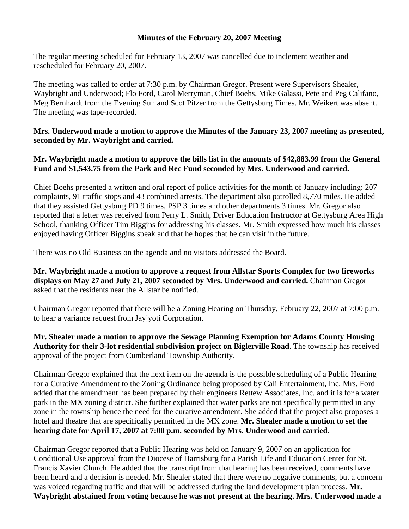## **Minutes of the February 20, 2007 Meeting**

The regular meeting scheduled for February 13, 2007 was cancelled due to inclement weather and rescheduled for February 20, 2007.

The meeting was called to order at 7:30 p.m. by Chairman Gregor. Present were Supervisors Shealer, Waybright and Underwood; Flo Ford, Carol Merryman, Chief Boehs, Mike Galassi, Pete and Peg Califano, Meg Bernhardt from the Evening Sun and Scot Pitzer from the Gettysburg Times. Mr. Weikert was absent. The meeting was tape-recorded.

## **Mrs. Underwood made a motion to approve the Minutes of the January 23, 2007 meeting as presented, seconded by Mr. Waybright and carried.**

## **Mr. Waybright made a motion to approve the bills list in the amounts of \$42,883.99 from the General Fund and \$1,543.75 from the Park and Rec Fund seconded by Mrs. Underwood and carried.**

Chief Boehs presented a written and oral report of police activities for the month of January including: 207 complaints, 91 traffic stops and 43 combined arrests. The department also patrolled 8,770 miles. He added that they assisted Gettysburg PD 9 times, PSP 3 times and other departments 3 times. Mr. Gregor also reported that a letter was received from Perry L. Smith, Driver Education Instructor at Gettysburg Area High School, thanking Officer Tim Biggins for addressing his classes. Mr. Smith expressed how much his classes enjoyed having Officer Biggins speak and that he hopes that he can visit in the future.

There was no Old Business on the agenda and no visitors addressed the Board.

**Mr. Waybright made a motion to approve a request from Allstar Sports Complex for two fireworks displays on May 27 and July 21, 2007 seconded by Mrs. Underwood and carried.** Chairman Gregor asked that the residents near the Allstar be notified.

Chairman Gregor reported that there will be a Zoning Hearing on Thursday, February 22, 2007 at 7:00 p.m. to hear a variance request from Jayjyoti Corporation.

**Mr. Shealer made a motion to approve the Sewage Planning Exemption for Adams County Housing Authority for their 3-lot residential subdivision project on Biglerville Road**. The township has received approval of the project from Cumberland Township Authority.

Chairman Gregor explained that the next item on the agenda is the possible scheduling of a Public Hearing for a Curative Amendment to the Zoning Ordinance being proposed by Cali Entertainment, Inc. Mrs. Ford added that the amendment has been prepared by their engineers Rettew Associates, Inc. and it is for a water park in the MX zoning district. She further explained that water parks are not specifically permitted in any zone in the township hence the need for the curative amendment. She added that the project also proposes a hotel and theatre that are specifically permitted in the MX zone. **Mr. Shealer made a motion to set the hearing date for April 17, 2007 at 7:00 p.m. seconded by Mrs. Underwood and carried.** 

Chairman Gregor reported that a Public Hearing was held on January 9, 2007 on an application for Conditional Use approval from the Diocese of Harrisburg for a Parish Life and Education Center for St. Francis Xavier Church. He added that the transcript from that hearing has been received, comments have been heard and a decision is needed. Mr. Shealer stated that there were no negative comments, but a concern was voiced regarding traffic and that will be addressed during the land development plan process. **Mr. Waybright abstained from voting because he was not present at the hearing. Mrs. Underwood made a**